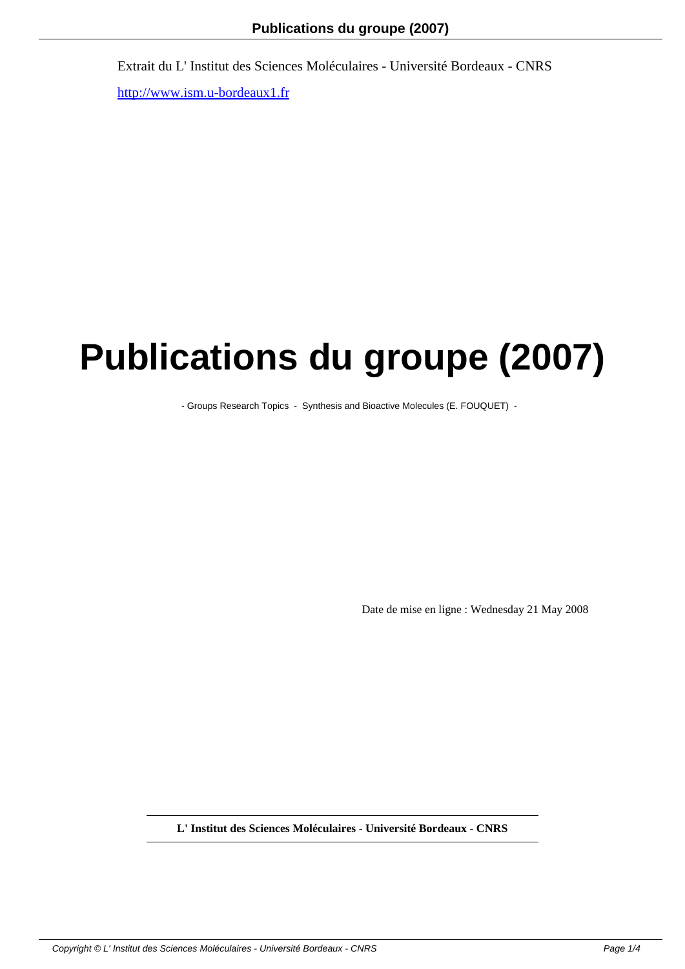## **Publications du groupe (2007)**

- Groups Research Topics - Synthesis and Bioactive Molecules (E. FOUQUET) -

Date de mise en ligne : Wednesday 21 May 2008

**L' Institut des Sciences Moléculaires - Université Bordeaux - CNRS**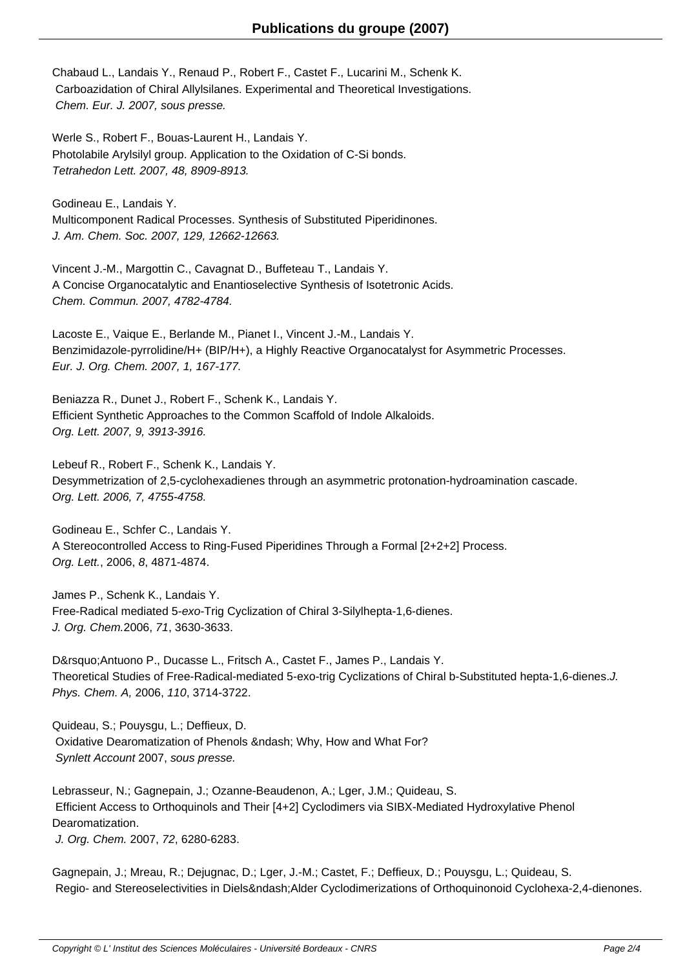Chabaud L., Landais Y., Renaud P., Robert F., Castet F., Lucarini M., Schenk K. Carboazidation of Chiral Allylsilanes. Experimental and Theoretical Investigations. Chem. Eur. J. 2007, sous presse.

Werle S., Robert F., Bouas-Laurent H., Landais Y. Photolabile Arylsilyl group. Application to the Oxidation of C-Si bonds. Tetrahedon Lett. 2007, 48, 8909-8913.

Godineau E., Landais Y. Multicomponent Radical Processes. Synthesis of Substituted Piperidinones. J. Am. Chem. Soc. 2007, 129, 12662-12663.

Vincent J.-M., Margottin C., Cavagnat D., Buffeteau T., Landais Y. A Concise Organocatalytic and Enantioselective Synthesis of Isotetronic Acids. Chem. Commun. 2007, 4782-4784.

Lacoste E., Vaique E., Berlande M., Pianet I., Vincent J.-M., Landais Y. Benzimidazole-pyrrolidine/H+ (BIP/H+), a Highly Reactive Organocatalyst for Asymmetric Processes. Eur. J. Org. Chem. 2007, 1, 167-177.

Beniazza R., Dunet J., Robert F., Schenk K., Landais Y. Efficient Synthetic Approaches to the Common Scaffold of Indole Alkaloids. Org. Lett. 2007, 9, 3913-3916.

Lebeuf R., Robert F., Schenk K., Landais Y. Desymmetrization of 2,5-cyclohexadienes through an asymmetric protonation-hydroamination cascade. Org. Lett. 2006, 7, 4755-4758.

Godineau E., Schfer C., Landais Y. A Stereocontrolled Access to Ring-Fused Piperidines Through a Formal [2+2+2] Process. Org. Lett., 2006, 8, 4871-4874.

James P., Schenk K., Landais Y. Free-Radical mediated 5-exo-Trig Cyclization of Chiral 3-Silylhepta-1,6-dienes. J. Org. Chem.2006, 71, 3630-3633.

D' Antuono P., Ducasse L., Fritsch A., Castet F., James P., Landais Y. Theoretical Studies of Free-Radical-mediated 5-exo-trig Cyclizations of Chiral b-Substituted hepta-1,6-dienes.J. Phys. Chem. A, 2006, 110, 3714-3722.

Quideau, S.; Pouysgu, L.; Deffieux, D. Oxidative Dearomatization of Phenols – Why, How and What For? Synlett Account 2007, sous presse.

Lebrasseur, N.; Gagnepain, J.; Ozanne-Beaudenon, A.; Lger, J.M.; Quideau, S. Efficient Access to Orthoquinols and Their [4+2] Cyclodimers via SIBX-Mediated Hydroxylative Phenol Dearomatization.

J. Org. Chem. 2007, 72, 6280-6283.

Gagnepain, J.; Mreau, R.; Dejugnac, D.; Lger, J.-M.; Castet, F.; Deffieux, D.; Pouysgu, L.; Quideau, S. Regio- and Stereoselectivities in Diels–Alder Cyclodimerizations of Orthoquinonoid Cyclohexa-2,4-dienones.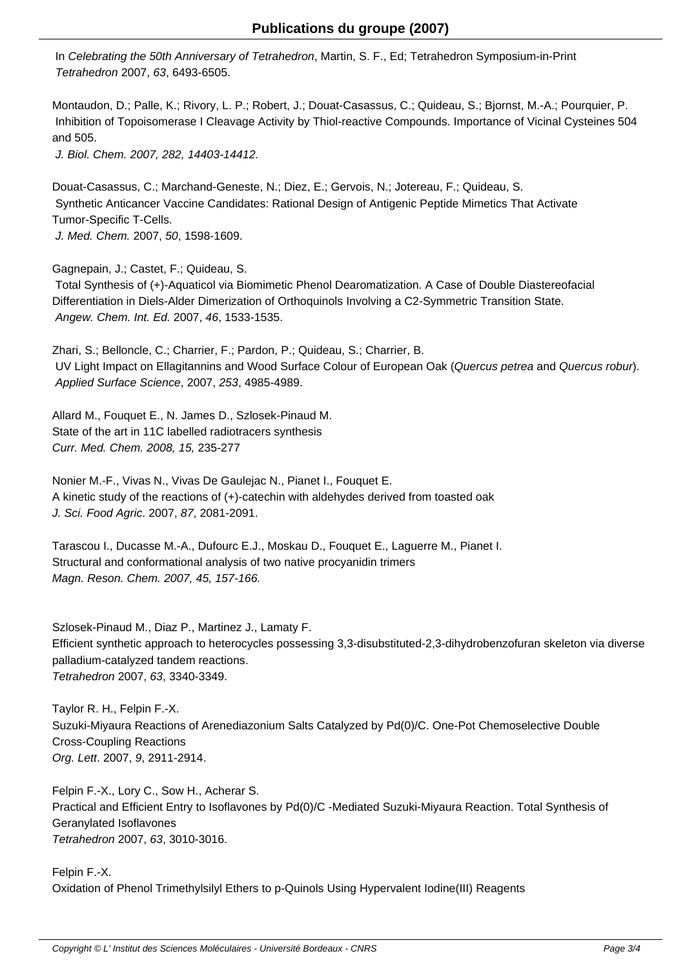In Celebrating the 50th Anniversary of Tetrahedron, Martin, S. F., Ed; Tetrahedron Symposium-in-Print Tetrahedron 2007, 63, 6493-6505.

Montaudon, D.; Palle, K.; Rivory, L. P.; Robert, J.; Douat-Casassus, C.; Quideau, S.; Bjornst, M.-A.; Pourquier, P. Inhibition of Topoisomerase I Cleavage Activity by Thiol-reactive Compounds. Importance of Vicinal Cysteines 504 and 505.

J. Biol. Chem. 2007, 282, 14403-14412.

Douat-Casassus, C.; Marchand-Geneste, N.; Diez, E.; Gervois, N.; Jotereau, F.; Quideau, S. Synthetic Anticancer Vaccine Candidates: Rational Design of Antigenic Peptide Mimetics That Activate Tumor-Specific T-Cells. J. Med. Chem. 2007, 50, 1598-1609.

Gagnepain, J.; Castet, F.; Quideau, S.

 Total Synthesis of (+)-Aquaticol via Biomimetic Phenol Dearomatization. A Case of Double Diastereofacial Differentiation in Diels-Alder Dimerization of Orthoquinols Involving a C2-Symmetric Transition State. Angew. Chem. Int. Ed. 2007, 46, 1533-1535.

Zhari, S.; Belloncle, C.; Charrier, F.; Pardon, P.; Quideau, S.; Charrier, B. UV Light Impact on Ellagitannins and Wood Surface Colour of European Oak (Quercus petrea and Quercus robur). Applied Surface Science, 2007, 253, 4985-4989.

Allard M., Fouquet E., N. James D., Szlosek-Pinaud M. State of the art in 11C labelled radiotracers synthesis Curr. Med. Chem. 2008, 15, 235-277

Nonier M.-F., Vivas N., Vivas De Gaulejac N., Pianet I., Fouquet E. A kinetic study of the reactions of (+)-catechin with aldehydes derived from toasted oak J. Sci. Food Agric. 2007, 87, 2081-2091.

Tarascou I., Ducasse M.-A., Dufourc E.J., Moskau D., Fouquet E., Laguerre M., Pianet I. Structural and conformational analysis of two native procyanidin trimers Magn. Reson. Chem. 2007, 45, 157-166.

Szlosek-Pinaud M., Diaz P., Martinez J., Lamaty F. Efficient synthetic approach to heterocycles possessing 3,3-disubstituted-2,3-dihydrobenzofuran skeleton via diverse palladium-catalyzed tandem reactions. Tetrahedron 2007, 63, 3340-3349.

Taylor R. H., Felpin F.-X. Suzuki-Miyaura Reactions of Arenediazonium Salts Catalyzed by Pd(0)/C. One-Pot Chemoselective Double Cross-Coupling Reactions Org. Lett. 2007, 9, 2911-2914.

Felpin F.-X., Lory C., Sow H., Acherar S. Practical and Efficient Entry to Isoflavones by Pd(0)/C -Mediated Suzuki-Miyaura Reaction. Total Synthesis of Geranylated Isoflavones Tetrahedron 2007, 63, 3010-3016.

Felpin F.-X. Oxidation of Phenol Trimethylsilyl Ethers to p-Quinols Using Hypervalent Iodine(III) Reagents